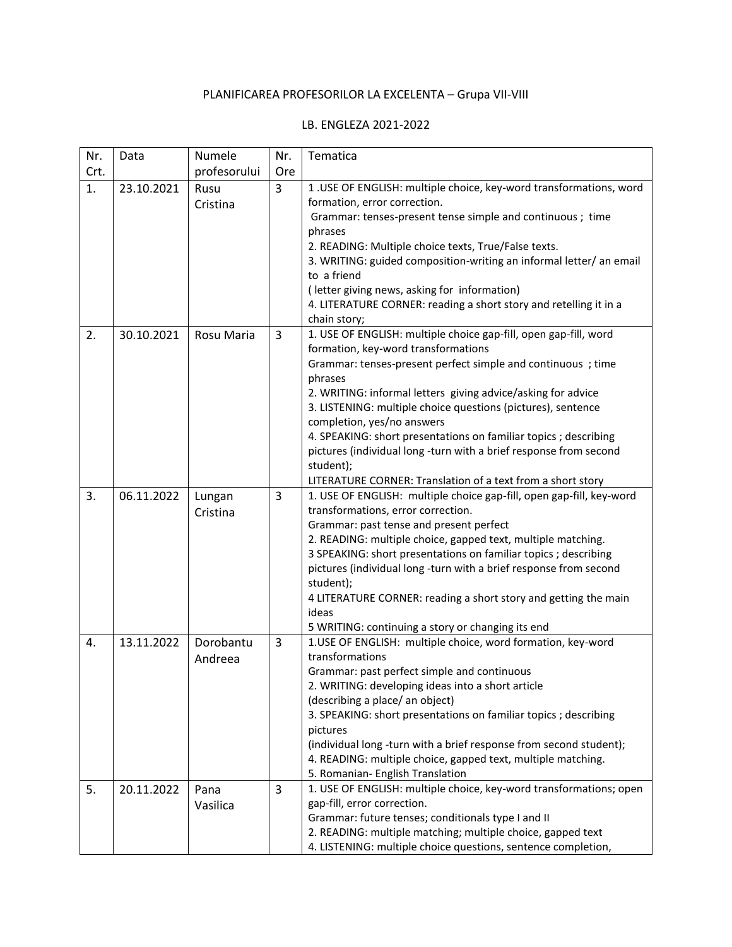## PLANIFICAREA PROFESORILOR LA EXCELENTA – Grupa VII-VIII

## LB. ENGLEZA 2021-2022

| Nr.  | Data       | Numele       | Nr.            | Tematica                                                                                                                        |
|------|------------|--------------|----------------|---------------------------------------------------------------------------------------------------------------------------------|
| Crt. |            | profesorului | Ore            |                                                                                                                                 |
| 1.   | 23.10.2021 | Rusu         | $\overline{3}$ | 1. USE OF ENGLISH: multiple choice, key-word transformations, word                                                              |
|      |            | Cristina     |                | formation, error correction.                                                                                                    |
|      |            |              |                | Grammar: tenses-present tense simple and continuous ; time                                                                      |
|      |            |              |                | phrases                                                                                                                         |
|      |            |              |                | 2. READING: Multiple choice texts, True/False texts.                                                                            |
|      |            |              |                | 3. WRITING: guided composition-writing an informal letter/ an email                                                             |
|      |            |              |                | to a friend                                                                                                                     |
|      |            |              |                | (letter giving news, asking for information)                                                                                    |
|      |            |              |                | 4. LITERATURE CORNER: reading a short story and retelling it in a                                                               |
| 2.   | 30.10.2021 | Rosu Maria   | $\overline{3}$ | chain story;<br>1. USE OF ENGLISH: multiple choice gap-fill, open gap-fill, word                                                |
|      |            |              |                | formation, key-word transformations                                                                                             |
|      |            |              |                | Grammar: tenses-present perfect simple and continuous; time                                                                     |
|      |            |              |                | phrases                                                                                                                         |
|      |            |              |                | 2. WRITING: informal letters giving advice/asking for advice                                                                    |
|      |            |              |                | 3. LISTENING: multiple choice questions (pictures), sentence                                                                    |
|      |            |              |                | completion, yes/no answers                                                                                                      |
|      |            |              |                | 4. SPEAKING: short presentations on familiar topics ; describing                                                                |
|      |            |              |                | pictures (individual long-turn with a brief response from second                                                                |
|      |            |              |                | student);                                                                                                                       |
|      |            |              |                | LITERATURE CORNER: Translation of a text from a short story                                                                     |
| 3.   | 06.11.2022 | Lungan       | 3              | 1. USE OF ENGLISH: multiple choice gap-fill, open gap-fill, key-word                                                            |
|      |            | Cristina     |                | transformations, error correction.                                                                                              |
|      |            |              |                | Grammar: past tense and present perfect                                                                                         |
|      |            |              |                | 2. READING: multiple choice, gapped text, multiple matching.<br>3 SPEAKING: short presentations on familiar topics ; describing |
|      |            |              |                | pictures (individual long -turn with a brief response from second                                                               |
|      |            |              |                | student);                                                                                                                       |
|      |            |              |                | 4 LITERATURE CORNER: reading a short story and getting the main                                                                 |
|      |            |              |                | ideas                                                                                                                           |
|      |            |              |                | 5 WRITING: continuing a story or changing its end                                                                               |
| 4.   | 13.11.2022 | Dorobantu    | 3              | 1.USE OF ENGLISH: multiple choice, word formation, key-word                                                                     |
|      |            | Andreea      |                | transformations                                                                                                                 |
|      |            |              |                | Grammar: past perfect simple and continuous                                                                                     |
|      |            |              |                | 2. WRITING: developing ideas into a short article                                                                               |
|      |            |              |                | (describing a place/ an object)                                                                                                 |
|      |            |              |                | 3. SPEAKING: short presentations on familiar topics ; describing                                                                |
|      |            |              |                | pictures<br>(individual long -turn with a brief response from second student);                                                  |
|      |            |              |                | 4. READING: multiple choice, gapped text, multiple matching.                                                                    |
|      |            |              |                | 5. Romanian- English Translation                                                                                                |
| 5.   | 20.11.2022 | Pana         | 3              | 1. USE OF ENGLISH: multiple choice, key-word transformations; open                                                              |
|      |            | Vasilica     |                | gap-fill, error correction.                                                                                                     |
|      |            |              |                | Grammar: future tenses; conditionals type I and II                                                                              |
|      |            |              |                | 2. READING: multiple matching; multiple choice, gapped text                                                                     |
|      |            |              |                | 4. LISTENING: multiple choice questions, sentence completion,                                                                   |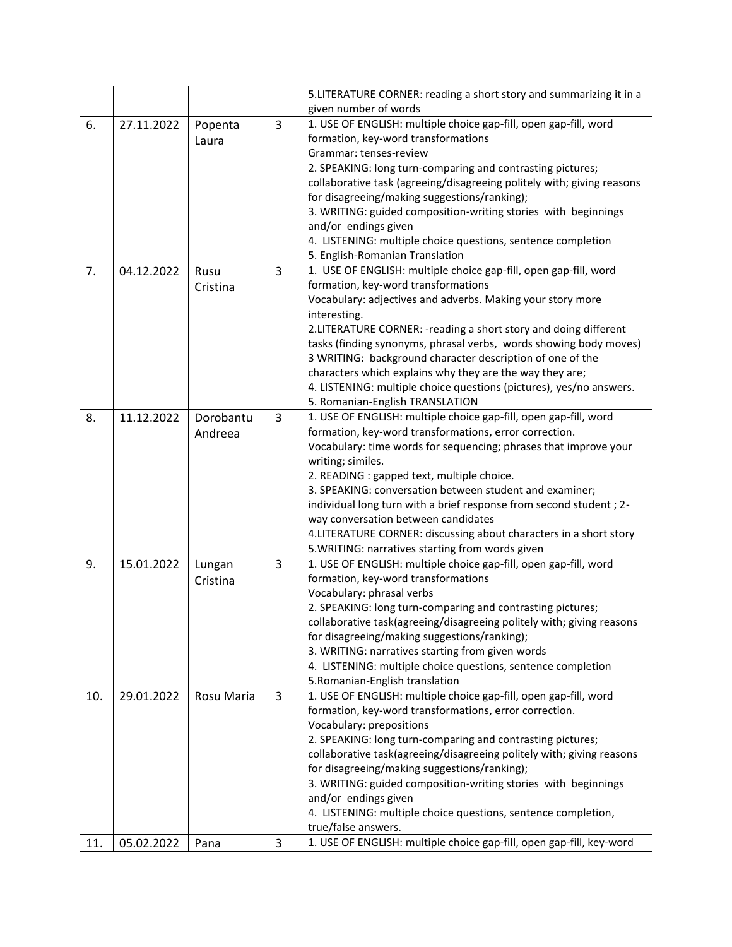|     |            |            |   | 5.LITERATURE CORNER: reading a short story and summarizing it in a     |
|-----|------------|------------|---|------------------------------------------------------------------------|
|     |            |            |   | given number of words                                                  |
| 6.  | 27.11.2022 | Popenta    | 3 | 1. USE OF ENGLISH: multiple choice gap-fill, open gap-fill, word       |
|     |            | Laura      |   | formation, key-word transformations                                    |
|     |            |            |   | Grammar: tenses-review                                                 |
|     |            |            |   | 2. SPEAKING: long turn-comparing and contrasting pictures;             |
|     |            |            |   | collaborative task (agreeing/disagreeing politely with; giving reasons |
|     |            |            |   | for disagreeing/making suggestions/ranking);                           |
|     |            |            |   | 3. WRITING: guided composition-writing stories with beginnings         |
|     |            |            |   | and/or endings given                                                   |
|     |            |            |   | 4. LISTENING: multiple choice questions, sentence completion           |
|     |            |            |   | 5. English-Romanian Translation                                        |
| 7.  | 04.12.2022 | Rusu       | 3 | 1. USE OF ENGLISH: multiple choice gap-fill, open gap-fill, word       |
|     |            | Cristina   |   | formation, key-word transformations                                    |
|     |            |            |   | Vocabulary: adjectives and adverbs. Making your story more             |
|     |            |            |   | interesting.                                                           |
|     |            |            |   | 2.LITERATURE CORNER: - reading a short story and doing different       |
|     |            |            |   | tasks (finding synonyms, phrasal verbs, words showing body moves)      |
|     |            |            |   | 3 WRITING: background character description of one of the              |
|     |            |            |   | characters which explains why they are the way they are;               |
|     |            |            |   | 4. LISTENING: multiple choice questions (pictures), yes/no answers.    |
|     |            |            |   | 5. Romanian-English TRANSLATION                                        |
| 8.  | 11.12.2022 | Dorobantu  | 3 | 1. USE OF ENGLISH: multiple choice gap-fill, open gap-fill, word       |
|     |            | Andreea    |   | formation, key-word transformations, error correction.                 |
|     |            |            |   | Vocabulary: time words for sequencing; phrases that improve your       |
|     |            |            |   | writing; similes.                                                      |
|     |            |            |   | 2. READING : gapped text, multiple choice.                             |
|     |            |            |   | 3. SPEAKING: conversation between student and examiner;                |
|     |            |            |   | individual long turn with a brief response from second student; 2-     |
|     |            |            |   | way conversation between candidates                                    |
|     |            |            |   | 4. LITERATURE CORNER: discussing about characters in a short story     |
|     |            |            |   | 5. WRITING: narratives starting from words given                       |
| 9.  | 15.01.2022 | Lungan     | 3 | 1. USE OF ENGLISH: multiple choice gap-fill, open gap-fill, word       |
|     |            | Cristina   |   | formation, key-word transformations                                    |
|     |            |            |   | Vocabulary: phrasal verbs                                              |
|     |            |            |   | 2. SPEAKING: long turn-comparing and contrasting pictures;             |
|     |            |            |   | collaborative task(agreeing/disagreeing politely with; giving reasons  |
|     |            |            |   | for disagreeing/making suggestions/ranking);                           |
|     |            |            |   | 3. WRITING: narratives starting from given words                       |
|     |            |            |   | 4. LISTENING: multiple choice questions, sentence completion           |
|     |            |            |   | 5. Romanian-English translation                                        |
| 10. | 29.01.2022 | Rosu Maria | 3 | 1. USE OF ENGLISH: multiple choice gap-fill, open gap-fill, word       |
|     |            |            |   | formation, key-word transformations, error correction.                 |
|     |            |            |   | Vocabulary: prepositions                                               |
|     |            |            |   | 2. SPEAKING: long turn-comparing and contrasting pictures;             |
|     |            |            |   | collaborative task(agreeing/disagreeing politely with; giving reasons  |
|     |            |            |   | for disagreeing/making suggestions/ranking);                           |
|     |            |            |   | 3. WRITING: guided composition-writing stories with beginnings         |
|     |            |            |   | and/or endings given                                                   |
|     |            |            |   | 4. LISTENING: multiple choice questions, sentence completion,          |
|     |            |            |   | true/false answers.                                                    |
| 11. | 05.02.2022 | Pana       | 3 | 1. USE OF ENGLISH: multiple choice gap-fill, open gap-fill, key-word   |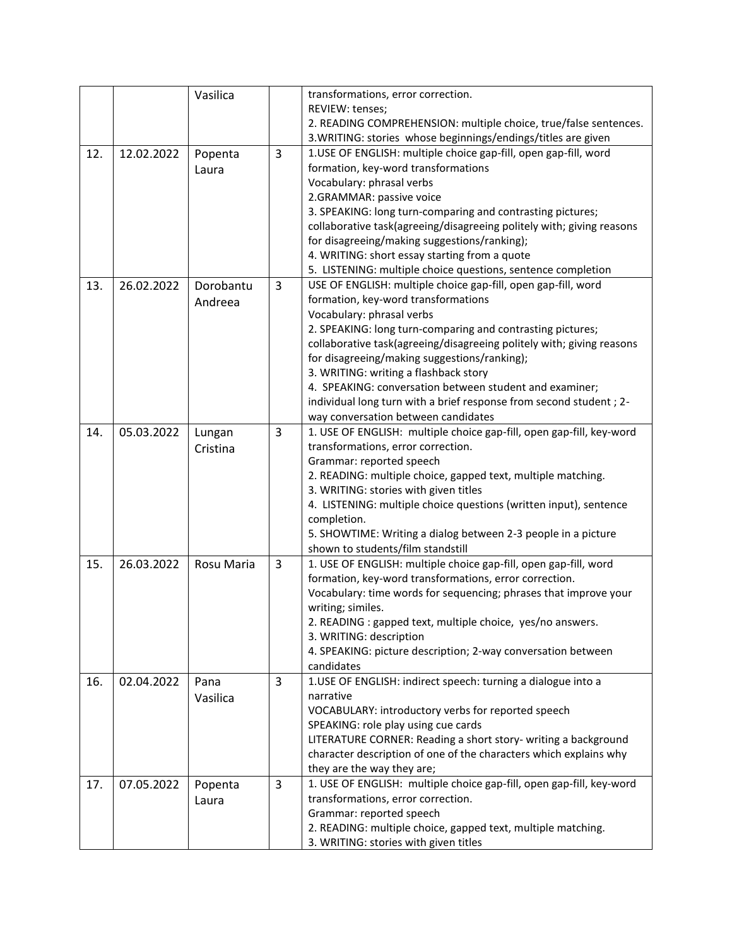|     |            | Vasilica   |   | transformations, error correction.                                                                         |
|-----|------------|------------|---|------------------------------------------------------------------------------------------------------------|
|     |            |            |   | REVIEW: tenses;                                                                                            |
|     |            |            |   | 2. READING COMPREHENSION: multiple choice, true/false sentences.                                           |
|     |            |            |   | 3. WRITING: stories whose beginnings/endings/titles are given                                              |
| 12. | 12.02.2022 | Popenta    | 3 | 1.USE OF ENGLISH: multiple choice gap-fill, open gap-fill, word                                            |
|     |            | Laura      |   | formation, key-word transformations                                                                        |
|     |            |            |   | Vocabulary: phrasal verbs                                                                                  |
|     |            |            |   | 2.GRAMMAR: passive voice                                                                                   |
|     |            |            |   | 3. SPEAKING: long turn-comparing and contrasting pictures;                                                 |
|     |            |            |   | collaborative task(agreeing/disagreeing politely with; giving reasons                                      |
|     |            |            |   | for disagreeing/making suggestions/ranking);                                                               |
|     |            |            |   | 4. WRITING: short essay starting from a quote                                                              |
|     |            |            |   | 5. LISTENING: multiple choice questions, sentence completion                                               |
| 13. | 26.02.2022 | Dorobantu  | 3 | USE OF ENGLISH: multiple choice gap-fill, open gap-fill, word                                              |
|     |            | Andreea    |   | formation, key-word transformations                                                                        |
|     |            |            |   | Vocabulary: phrasal verbs                                                                                  |
|     |            |            |   | 2. SPEAKING: long turn-comparing and contrasting pictures;                                                 |
|     |            |            |   | collaborative task(agreeing/disagreeing politely with; giving reasons                                      |
|     |            |            |   | for disagreeing/making suggestions/ranking);                                                               |
|     |            |            |   | 3. WRITING: writing a flashback story                                                                      |
|     |            |            |   | 4. SPEAKING: conversation between student and examiner;                                                    |
|     |            |            |   | individual long turn with a brief response from second student; 2-                                         |
|     |            |            |   | way conversation between candidates                                                                        |
| 14. | 05.03.2022 | Lungan     | 3 | 1. USE OF ENGLISH: multiple choice gap-fill, open gap-fill, key-word                                       |
|     |            | Cristina   |   | transformations, error correction.                                                                         |
|     |            |            |   | Grammar: reported speech<br>2. READING: multiple choice, gapped text, multiple matching.                   |
|     |            |            |   | 3. WRITING: stories with given titles                                                                      |
|     |            |            |   | 4. LISTENING: multiple choice questions (written input), sentence                                          |
|     |            |            |   | completion.                                                                                                |
|     |            |            |   | 5. SHOWTIME: Writing a dialog between 2-3 people in a picture                                              |
|     |            |            |   | shown to students/film standstill                                                                          |
| 15. | 26.03.2022 | Rosu Maria | 3 | 1. USE OF ENGLISH: multiple choice gap-fill, open gap-fill, word                                           |
|     |            |            |   | formation, key-word transformations, error correction.                                                     |
|     |            |            |   | Vocabulary: time words for sequencing; phrases that improve your                                           |
|     |            |            |   | writing; similes.                                                                                          |
|     |            |            |   | 2. READING : gapped text, multiple choice, yes/no answers.                                                 |
|     |            |            |   | 3. WRITING: description                                                                                    |
|     |            |            |   | 4. SPEAKING: picture description; 2-way conversation between                                               |
|     |            |            |   | candidates                                                                                                 |
| 16. | 02.04.2022 | Pana       | 3 | 1.USE OF ENGLISH: indirect speech: turning a dialogue into a                                               |
|     |            | Vasilica   |   | narrative                                                                                                  |
|     |            |            |   | VOCABULARY: introductory verbs for reported speech                                                         |
|     |            |            |   | SPEAKING: role play using cue cards                                                                        |
|     |            |            |   | LITERATURE CORNER: Reading a short story- writing a background                                             |
|     |            |            |   | character description of one of the characters which explains why                                          |
|     |            |            |   | they are the way they are;                                                                                 |
| 17. | 07.05.2022 | Popenta    | 3 | 1. USE OF ENGLISH: multiple choice gap-fill, open gap-fill, key-word<br>transformations, error correction. |
|     |            | Laura      |   | Grammar: reported speech                                                                                   |
|     |            |            |   | 2. READING: multiple choice, gapped text, multiple matching.                                               |
|     |            |            |   | 3. WRITING: stories with given titles                                                                      |
|     |            |            |   |                                                                                                            |